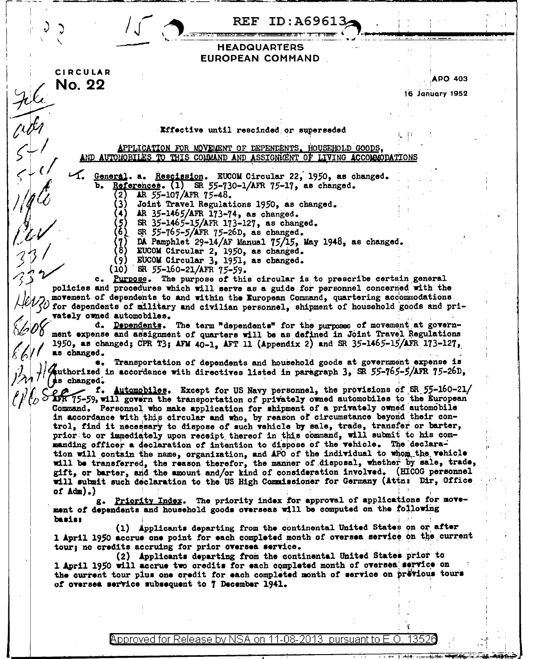|                                                                                                                                                                                                                                                                                                                    | ID:A69613<br>REF                                                                                                                                                                                                                                                                                                                                                                                                                                                 |                            |  |
|--------------------------------------------------------------------------------------------------------------------------------------------------------------------------------------------------------------------------------------------------------------------------------------------------------------------|------------------------------------------------------------------------------------------------------------------------------------------------------------------------------------------------------------------------------------------------------------------------------------------------------------------------------------------------------------------------------------------------------------------------------------------------------------------|----------------------------|--|
|                                                                                                                                                                                                                                                                                                                    | <b>HEADQUARTERS</b><br>EUROPEAN COMMAND                                                                                                                                                                                                                                                                                                                                                                                                                          |                            |  |
| <b>CIRCULAR</b><br>No. 22                                                                                                                                                                                                                                                                                          |                                                                                                                                                                                                                                                                                                                                                                                                                                                                  | APO 403<br>16 January 1952 |  |
|                                                                                                                                                                                                                                                                                                                    |                                                                                                                                                                                                                                                                                                                                                                                                                                                                  |                            |  |
|                                                                                                                                                                                                                                                                                                                    | Effective until rescinded or superseded                                                                                                                                                                                                                                                                                                                                                                                                                          |                            |  |
|                                                                                                                                                                                                                                                                                                                    | APPLICATION FOR MOVEMENT OF DEPENDENTS, HOUSEHOLD GOODS,<br>AND AUTOMOBILES TO THIS COMMAND AND ASSIGNMENT OF LIVING ACCOMMODATIONS                                                                                                                                                                                                                                                                                                                              |                            |  |
| AR 55-107/AFR 75-48.<br>2)                                                                                                                                                                                                                                                                                         | General. a. Rescission. EUCOM Circular 22, 1950, as changed.<br>b. References. $(1)$ SR 55-730-1/AFR 75-17, as changed.<br>Joint Travel Regulations 1950, as changed.                                                                                                                                                                                                                                                                                            |                            |  |
| (5)<br>(6)                                                                                                                                                                                                                                                                                                         | AR 35-1465/AFR 173-74, as changed.<br>SR 35-1465-15/AFR 173-127, as changed.<br>SR 55-765-5/AFR 75-26D, as changed.<br>DA Pamphlet 29-14/AF Manual 75/15, May 1948, as changed.                                                                                                                                                                                                                                                                                  |                            |  |
| 8)<br>(9)<br>SR 55-160-21/AFR 75-59.<br>(10)                                                                                                                                                                                                                                                                       | EUCOM Circular 2, 1950, as changed.<br>EUCOM Circular 3, 1951, as changed.<br>c. Purpose. The purpose of this circular is to prescribe certain general                                                                                                                                                                                                                                                                                                           |                            |  |
| policies and procedures which will serve as a guide for personnel concerned with the<br>movement of dependents to and within the European Command, quartering accommodations<br>$\zeta\omega$ for dependents of military and civilian personnel, shipment of household goods and pri-<br>vately owned automobiles. |                                                                                                                                                                                                                                                                                                                                                                                                                                                                  |                            |  |
| ment expense and assignment of quarters will be as defined in Joint Travel Regulations<br>1950, as changed; CPR T3; AFM 40-1, AFT 11 (Appendix 2) and SR 35-1465-15/AFR 173-127,<br>as changed.<br>Authorized in accordance with directives listed in paragraph 3, SR 55-765-5/AFR 75-26D,<br>se changed.          | d. Dependents. The term "dependents" for the purposes of movement at govern-<br>Transportation of dependents and household goods at government expense is                                                                                                                                                                                                                                                                                                        |                            |  |
| E T. Automobiles. Except for US Navy personnel, the provisions of BR 55-160-21.<br>(b) APR 75-59, will govern the transportation of privately owned automobiles to the European                                                                                                                                    | f. Automobiles. Except for US Navy personnel, the provisions of SR 55-160-21/<br>Command. Personnel who make application for shipment of a privately owned automobile<br>in accordance with this circular and who, by reason of circumstance beyond their con-<br>trol, find it necessary to dispose of such vehicle by sale, trade, transfer or barter,<br>prior to or immediately upon receipt thereof in this command, will submit to his com-                |                            |  |
|                                                                                                                                                                                                                                                                                                                    | manding officer a declaration of intention to dispose of the vehicle. The declara-<br>tion will contain the name, organization, and APO of the individual to whom the vehicle<br>will be transferred, the reason therefor, the manner of disposal, whether by sale, trade,<br>gift, or barter, and the amount and/or kind of consideration involved. (HICOG personnel<br>will submit such declaration to the US High Commissioner for Germany (Attn: Dir, Office |                            |  |
| of $Adm$ ).)<br>basis:                                                                                                                                                                                                                                                                                             | g. Priority Index. The priority index for approval of applications for move-<br>ment of dependents and household goods overseas will be computed on the following                                                                                                                                                                                                                                                                                                |                            |  |
| tour; no credits accruing for prior oversea service.                                                                                                                                                                                                                                                               | (1) Applicants departing from the continental United States on or after<br>1 April 1950 accrue one point for each completed month of oversea service on the current                                                                                                                                                                                                                                                                                              |                            |  |
| of oversea service subsequent to 7 December 1941.                                                                                                                                                                                                                                                                  | (2) Applicants departing from the continental United States prior to<br>1 April 1950 will accrue two credits for each completed month of oversea service on<br>the current tour plus one credit for each completed month of service on previous tours                                                                                                                                                                                                            |                            |  |
|                                                                                                                                                                                                                                                                                                                    |                                                                                                                                                                                                                                                                                                                                                                                                                                                                  |                            |  |
|                                                                                                                                                                                                                                                                                                                    | Approved for Release by NSA on 11-08-2013 pursuant to E                                                                                                                                                                                                                                                                                                                                                                                                          | 13526                      |  |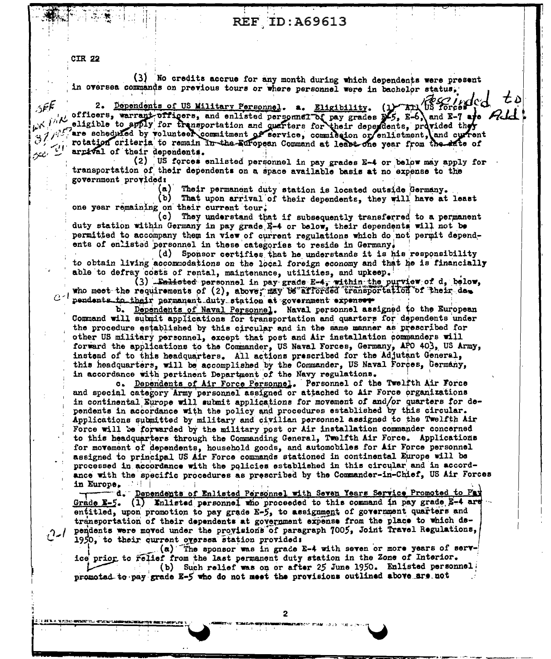## **REF ID: A69613**

**CIR 22** 

 $5$  $\epsilon$  $\epsilon$ 

(3) No credits accrue for any month during which dependents were present in oversea commands on previous tours or where personnel were in bachelor status,

Before of d 2. Dependents of US Military Personnel. a. Eligibility. Arl SERVICES, warrant-officers, and enlisted personnel. a. Eligibility. (1) Art US forces (2)<br>
(1) officers, warrant-officers, and enlisted personnel of pay grades  $\frac{1}{2}$ , E-6) and E-7 are Ald<br>
(3) (1) are scheduled by volu arrival of their dependents.

(2) US forces enlisted personnel in pay grades E-4 or below may apply for transportation of their dependents on a space available basis at no expense to the government provided:

(a) Their permanent duty station is located outside Germany.

せぃ

(ช) That upon arrival of their dependents, they will have at least one year remaining on their current tour.

(c) They understand that if subsequently transferred to a permanent duty station within Germany in pay grade E-4 or below, their dependents will not be permitted to accompany them in view of current regulations which do not permit dependents of enlisted personnel in these categories to reside in Germany.

(d) Sponsor certifies that he understands it is his responsibility to obtain living accommodations on the local foreign economy and that he is financially able to defray costs of rental, maintenance, utilities, and upkeep.

(3) Enlisted personnel in pay grade E-4, within the purview of d, below, who meet the requirements of (2), above, may be afforded transportation of their das pendents to their permanent duty station at government expenser

b. Dependents of Naval Personnel. Naval personnel assigned to the European Command will submit applications for transportation and quarters for dependents under the procedure established by this circular and in the same manner as prescribed for other US military personnel, except that post and Air installation commanders will forward the applications to the Commander, US Naval Forces, Germany, APO 403, US Army, instead of to this headquarters. All actions prescribed for the Adjutant General. this headquarters, will be accomplished by the Commander, US Naval Forces, Germany, in accordance with pertinent Department of the Navy regulations.

c. Dependents of Air Force Personnel. Personnel of the Twelfth Air Force and special category Army personnel assigned or attached to Air Force organizations in continental Europe will submit applications for movement of and/or quarters for dependents in accordance with the policy and procedures established by this circular. Applications submitted by military and civilian personnel assigned to the Twelfth Air Force will be forwarded by the military post or Air installation commander concerned to this headquarters through the Commanding General, Twelfth Air Force. Applications for movement of dependents, household goods, and automobiles for Air Force personnel assigned to principal US Air Force commands stationed in continental Europe will be processed in accordance with the policies established in this circular and in accordance with the specific procedures as prescribed by the Commander-in-Chief, US Air Forces in Europe.

d. Dependents of Enlisted Personnel with Seven Years Service Promoted to Pay Grade  $E-5$ . (1) Enlisted personnel who proceeded to this command in pay grade  $E-4$  are entitled, upon promotion to pay grade E-5, to assignment of government quarters and transportation of their dependents at government expense from the place to which dependents were moved under the provisions of paragraph 7005, Joint Travel Regulations, 1950, to their current oversea station provided:

(a) The sponsor was in grade E-4 with seven or more years of service prior to relief from the last permanent duty station in the Zone of Interior. (b) Such relief was on or after 25 June 1950. Enlisted personnel promoted to pay grade E-5 who do not meet the provisions outlined above are not

 $\mathbf{2}$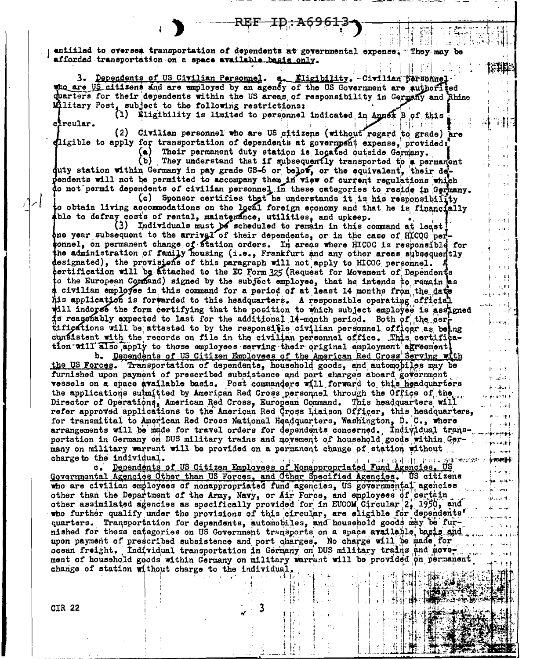entitled to oversea transportation of dependents at governmental expense. "They may be afforded transportation on a space available basis only. 나 王村

3. Dependents of US Civilian Personnel. a. Eligibility. Civilian personnel who are US citizens and are employed by an agency of the US Government are authorized quarters for their dependents within the US areas of responsibility in Germany and Rhine Military Post, subject to the following restrictions:

(1) Eligibility is limited to personnel indicated in Annex B of this circular.

(2) Civilian personnel who are US citizens (without regard to grade) are ligible to apply for transportation of dependents at government expense, provided;

Their permanent duty station is located outside Germany. They understand that if subsequently transported to a permanent (ъ)

 $\sim$ 

 $\pm$  1

e et il.

a se di  $\ddot{\phantom{a}}$ 

 $\pm$  1

 $-11$ 

 $\mathcal{A}(\mathbf{F})$ 

 $\pm$  19  $\pm$ 

neve l

 $\pm$  3.4

المستهداة

k sakari

**HALDTOTE &** 

**Print** 1974

e vikk

kemilika

im vaark

فصيم بالد

 $+0000$ ووجه والمحاج

القاسم

in Thomas I

ens ti

 $1.31$ 

duty station within Germany in pay grade GS-6 or below, or the equivalent, their deendents will not be permitted to accompany them in view of current regulations which do not permit dependents of civilian personnel in these categories to reside in Germany.

(c) Sponsor certifies that he understands it is his responsibility to obtain living accommodations on the local foreign economy and that he is financially able to defray costs of rental, maintenance, utilities, and upkeep.

(3) Individuals must be scheduled to remain in this command at least!<br>one year subsequent to the arrival of their dependents, or in the case of HICOG perconnel, on permanent change of fiation orders. In areas where HICOG is responsible for the administration of family housing (i.e., Frankfurt and any other areas subsequently designated), the provisions of this paragraph will not apply to HICOG personnel. certification will be attached to the EC Form 325 (Request for Movement of Dependents to the European Command) signed by the subject employee, that he intends to remain as civilian employee in this command for a period of at least 14 months from the date his application is forwarded to this headquarters. A responsible operating official will indores the form certifying that the position to which subject employee is assigned is reasonably expected to last for the additional 14-month period. Both of the certifications will be attested to by the responsitie civilian personnel officer as being confistent with the records on file in the civilian personnel office. This certification will also apply to those employees serving their original employment agreement!

b. Dependents of US Citizen Employees of the American Red Cross Serving with the US Forces. Transportation of dependents, household goods, and automobiles may be furnished upon payment of prescribed subsistence and port charges aboard government vessels on a space available basis. Post commanders will forward to this headquarters the applications submitted by American Red Cross personnel through the Office of the Director of Operations, American Red Cross, European Command. This headquarters will refer approved applications to the American Red Cross Liaison Officer, this headquarters, for transmittal to American Red Cross National Headquarters, Washington, D. C., where arrangements will be made for travel orders for dependents concerned. Individual transportation in Germany on DUS military trains and movement of household goods within Germany on military warrant will be provided on a permanent change of station without charge to the individual.

c. Dependents of US Citizen Employees of Nonappropriated Fund Agencies. US Governmental Agencies Other than US Forces, and Other Specified Agencies. US citizens who are civilian employees of nonappropriated fund agencies, US governmental agencies other than the Department of the Army, Navy, or Air Force, and employees of certain other assimilated agencies as specifically provided for in EUCOM Circular 2, 1950, and who further qualify under the provisions of this circular, are eligible for dependents' quarters. Transportation for dependents, automobiles, and household goods may be furnished for these categories on US Government transports on a space available, basis and upon payment of prescribed subsistence and port charges. No charge will be made for ocean freight. Individual transportation in Germany on DUS military trains and movement of household goods within Germany on military warrant will be provided on permanent change of station without charge to the individual.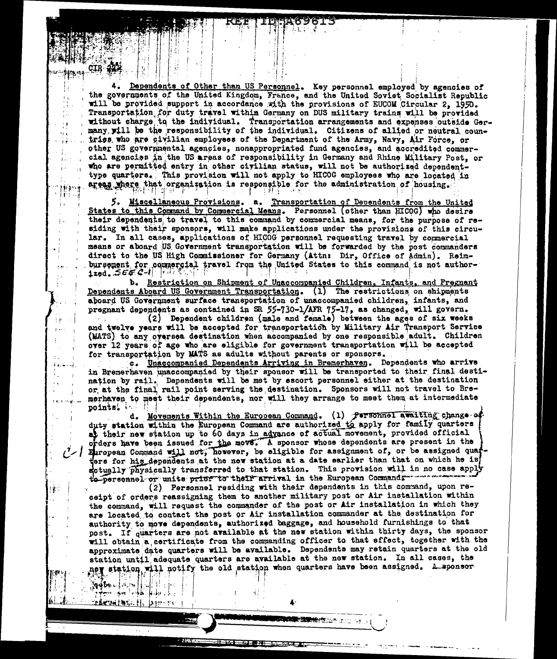Dependents of Other than US Personnel. Key personnel employed by agencies of the governments of the United Kingdom, France, and the United Soviet Socialist Republic will be provided support in accordance with the provisions of EUCOM Circular 2, 1950. Transportation for duty travel within Germany on DUS military trains will be provided without charge to the individual. Transportation arrangements and expenses outside Germany will be the responsibility of the individual. Citizens of allied or neutral countries who are civilian employees of the Department of the Army, Navy, Air Force, or other US governmental agencies, nonappropriated fund agencies, and accredited commercial agencies in the US areas of responsibility in Germany and Rhine Military Post. or who are permitted entry in other civilian status, will not be authorized dependenttype quarters. This provision will not apply to HICOG employees who are located in areas where that organization is responsible for the administration of housing.

 $\mathcal{F}$ 

9. A

i i

 $1.1$ 

 $101304$ 11 F.C

 $\mathbf{r}$  .

įφ

¦gobn…l⊕∴

金属最BM经销售公司公司 1000000000

5. Miscellaneous Provisions. a. Transportation of Dependents from the United States to this Command by Commercial Means. Personnel (other than HICOG) who desire their dependents to travel to this command by commercial means, for the purpose of residing with their sponsors, will make applications under the provisions of this circular. In all cases, applications of HIGOG personnel requesting travel by commercial means or aboard US Government transportation will be forwarded by the post commanders direct to the US High Commissioner for Germany (Attn: Dir, Office of Admin). Reimbursement for commercial travel from the United States to this command is not author- $1zod.$  $SEE$   $C-I$   $F1$ 

b. Restriction on Shipment of Unaccompanied Children, Infants, and Pregnant Dependents Aboard US Government Transportation. (1) The restrictions on shipments aboard US Government surface transportation of unaccompanied children, infants, and pregnant dependents as contained in SR 55-730-1/AFR 75-17, as changed, will govern.

(2) Dependent children (male and female) between the ages of six weeks and twelve years will be accepted for transportation by Military Air Transport Service (MATS) to any oversea destination when accompanied by one responsible adult. Children over 12 years of age who are eligible for government transportation will be accepted for transportation by MATS as adults without parents or sponsors.

c. Unaccompanied Dependents Arriving in Bremerhaven. Dependents who arrive in Bremerhaven unaccompanied by their sponsor will be transported to their final destination by rail. Dependents will be met by escort personnel either at the destination or at the final rail point serving the destination. Sponsors will not travel to Bremerhaven to meet their dependents, nor will they arrange to meet them at intermediate points.

d. Movements Within the European Command. (1) Personnel avaiting change of duty station within the European Command are authorized to apply for family quarters at their new station up to 60 days in advance of actual movement, provided official orders have been issued for the move. A sponsor whose dependents are present in the  $\ell$  / European Command will not, however, be eligible for assignment of, or be assigned quark ers for his dependents at the new station at a date earlier than that on which he is actually physically transferred to that station. This provision will in no case appl to personnel or units prior to their arrival in the European Commandr-

(2) Personnel residing with their dependents in this command, upon receipt of orders reassigning them to another military post or Air installation within the command, will request the commander of the post or Air installation in which they are located to contact the post or Air installation commander at the destination for authority to move dependents, authorized baggage, and household furnishings to that post. If quarters are not available at the new station within thirty days, the sponsor will obtain a certificate from the commanding officer to that effect, together with the approximate date quarters will be available. Dependents may retain quarters at the old station until adequate quarters are available at the new station. In all cases, the new station, will notify the old station when quarters have been assigned. A sponsor

■ 第一条 2010年 1022年 1022年 1022年 1022年 1022年 1022年 1022年 1022年 1022年 1022年 1022年 1022年 1022年 1022年 1022年 1022年 1022年 1022年 1022年 1022年 1022年 1022年 1022年 1022年 1022年 1022年 1022年 1022年 1022年 1022年 1022年 1022年 1022年 1022年 1022年

**WINDHESON, T**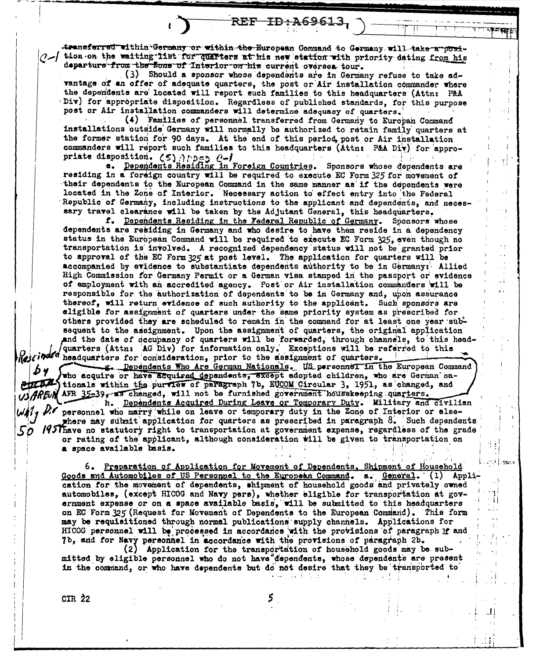transferred within Germany or within the European Command to Germany will take a posi- $\Lambda$  tion on the waiting list for quarters at his new etation with priority dating from his departure from the Zone of Interior on his current oversea tour.

REF ID: A69613,

(3) Should a sponsor whose dependents are in Germany refuse to take advantage of an offer of adequate quarters, the post or Air installation commander where the dependents are located will report such families to this headquarters (Attn: P&A Div) for appropriate disposition. Regardless of published standards, for this purpose post or Air installation commanders will determine adequacy of quarters.

(4) Families of personnel transferred from Germany to Europan Command installations outside Germany will normally be authorized to retain family quarters at the former station for 90 days. At the end of this period post or Air installation commanders will report such families to this headquarters (Attn: P&A Div) for appropriate disposition. (5) Appen C-I

a. Dependents Residing in Foreign Countries. Sponsors whose dependents are residing in a foreign country will be required to execute EC Form 325 for movement of their dependents to the European Command in the same manner as if the dependents were located in the Zone of Interior. Necessary action to effect entry into the Federal Republic of Germany, including instructions to the applicant and dependents, and necessary travel clearance will be taken by the Adjutant General, this headquarters.

f. Dependents Residing in the Federal Republic of Germany. Sponsors whose dependents are residing in Germany and who desire to have them reside in a dependency status in the European Command will be required to execute EC Form 325, even though no transportation is involved. A recognized dependency status will not be granted prior to approval of the EC Form 325 at post level. The application for quarters will be accompanied by evidence to substantiate dependents authority to be in Germany: Allied High Commission for Germany Permit or a German visa stamped in the passport or evidence of employment with an accredited agency. Post or Air installation commanders will be responsible for the authorization of dependents to be in Germany and, upon assurance thereof, will return evidence of such authority to the applicant. Such sponsors are eligible for assignment of quarters under the same priority system as prescribed for others provided they are scheduled to remain in the command for at least one year subsequent to the assignment. Upon the assignment of quarters, the original application and the date of decupancy of quarters will be forwarded, through channels, to this headquarters (Attn: AG Div) for information only. Exceptions will be referred to this Rescinded headquarters for consideration, prior to the assignment of quarters.

g. Dependents Who Are German Nationals. US personnel in the European Command who acquire or have acquired dependents, except adopted children, who are German nationals within the purview of paragraph 7b, EUCOM Circular 3, 1951, as changed, and AFR 35-39, as changed, will not be furnished government housekeeping quarters. h. Dependents Acquired During Leave or Temporary Duty. Military and civilian personnel who marry while on leave or temporary duty in the Zone of Interior or elsewhere may submit application for quarters as prescribed in paragraph 8. Such dependents 1957have no statutory right to transportation at government expense, regardless of the grade or rating of the applicant, although consideration will be given to transportation on a space available basis.

6. Preparation of Application for Movement of Dependents, Shipment of Household Goods and Automobiles of US Personnel to the European Command. a. General. (1) Application for the movement of dependents, shipment of household goods and privately owned automobiles, (except HICOG and Navy pers), whether eligible for transportation at government expense or on a space available basis, will be submitted to this headquarters on EC Form 325 (Request for Movement of Dependents to the European Command). This form may be requisitioned through normal publications supply channels. Applications for HICOG personnel will be processed in accordance with the provisions of paragraph if and 7b, and for Navy personnel in accordance with the provisions of paragraph 2b.

بيوجانا

Application for the transportation of household goods may be submitted by eligible personnel who do not have dependents, whose dependents are present in the command, or who have dependents but do not desire that they be transported to

CIR 22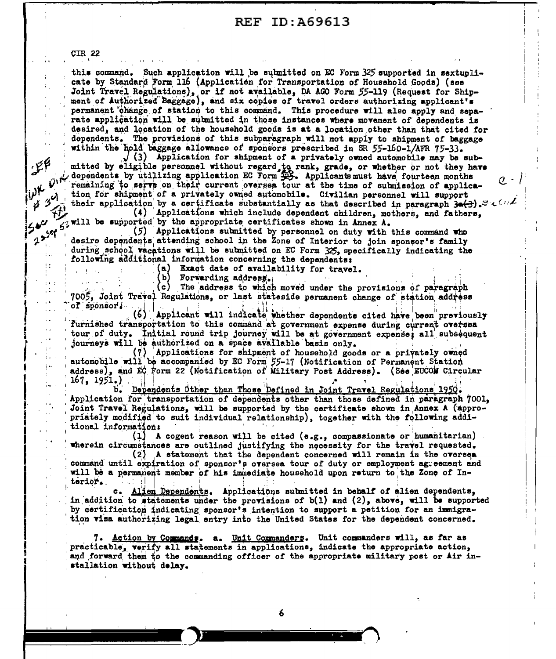**CIR 22** 

 $\pm$  .

 $\mathscr{F}^{\beta}$ 

 $43<sup>0</sup>$ 

 $2^{5^{56}}$ 

 $\pm$   $\pm$ 

 $\pm$ 

**SA 14** 

 $\ddot{\phantom{a}}$ 

 $\pm$   $\cdot$ 

Îт.

 $\mathbf{i}$ 

this command. Such application will be submitted on EC Form 325 supported in sextuplicate by Standard Form 116 (Application for Transportation of Household Goods) (see Joint Travel Regulations), or if not available, DA AGO Form 55-119 (Request for Shipment of Authorized Baggage), and six copies of travel orders authorizing applicant's permanent change of station to this command. This procedure will also apply and separate application will be submitted in those instances where movement of dependents is desired, and location of the household goods is at a location other than that cited for dependents. The provisions of this subparagraph will not apply to shipment of baggage within the hold baggage allowance of sponsors prescribed in SR 55-160-1/AFR 75-33.

 $/$  (3) Application for shipment of a privately owned automobile may be submitted by eligible personnel without regard to rank, grade, or whether or not they have dependents by utilizing application EC Form  $\overline{25}$ . Applicants must have fourteen months remaining to serve on their current oversea tour at the time of submission of application for shipment of a privately owned automobile. Civilian personnel will support their application by a certificate substantially as that described in paragraph  $3\bullet(3)$ .

 $\sigma$  -

(4) Applications which include dependent children, mothers, and fathers, will be supported by the appropriate certificates shown in Annex A.

(5) Applications submitted by personnel on duty with this command who desire dependents attending school in the Zone of Interior to join sponsor's family during school vacations will be submitted on EC Form 325, specifically indicating the following additional information concerning the dependents:

(a) Exact date of availability for travel.

Forwarding address.

 $\left( \text{c} \right)$ The address to which moved under the provisions of paragraph 7005, Joint Travel Regulations, or last stateside permanent change of station address of sponsor!

(6) Applicant will indicate whether dependents cited have been previously furnished transportation to this command at government expense during current oversea tour of duty. Initial round trip journey will be at government expense; all subsequent journeys will be authorized on a space available basis only.

(7) Applications for shipment of household goods or a privately owned automobile will be accompanied by EC Form 55-17 (Notification of Permanent Station address), and EC form 22 (Notification of Military Post Address). (See EUCOM Circular  $167, 1951.)$ 

Dependents Other than Those Defined in Joint Travel Regulations 1950. Application for transportation of dependents other than those defined in paragraph 7001, Joint Travel Regulations, will be supported by the certificate shown in Annex A (appropriately modified to suit individual relationship), together with the following additional information:

 $(1)$  A cogent reason will be cited (e.g., compassionate or humanitarian) wherein circumstances are outlined justifying the necessity for the travel requested.

(2) A statement that the dependent concerned will remain in the oversea command until expiration of sponsor's oversea tour of duty or employment agreement and will be a permanent member of his immediate household upon return to the Zone of Interior.

c. Alien Dependents. Applications submitted in behalf of alien dependents, in addition to statements under the provisions of  $b(1)$  and  $(2)$ , above, will be supported by certification indicating sponsor's intention to support a petition for an immigration visa authorizing legal entry into the United States for the dependent concerned.

7. Action by Commands, a. Unit Commanders. Unit commanders will, as far as practicable, verify all statements in applications, indicate the appropriate action, and forward them to the commanding officer of the appropriate military post or Air installation without delay.

6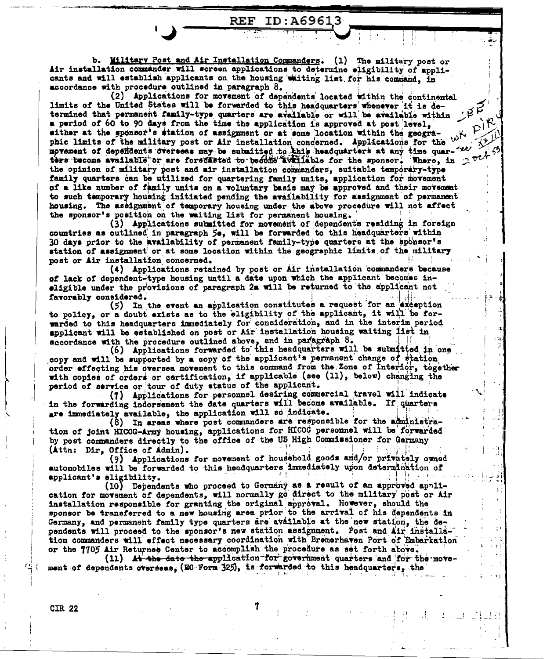b. Wilitary Post and Air Installation Commanders. (1) The military post or Air installation commander will screen applications to determine eligibility of applicants and will establish applicants on the housing waiting list for his command. in accordance with procedure outlined in paragraph  $8$ .

**REF ID: A69613** 

PIR

(2) Applications for movement of dependents located within the continental limits of the United States will be forwarded to this headquarters whenever it is determined that permanent family-type quarters are available or will be available within a period of 60 to 90 days from the time the application is approved at post level, sither at the sponsor's station of assignment or at some location within the geographic limits of the military post or Air installation concerned. Applications for the with more more more with the concerned. Applications for the with morement of depositents oversees may be submitted to this headquarters at any time quarters become available or are forecasted to become available for the sponsor. Where, in 2 pch 5 the opinion of military post and air installation commanders, suitable temporary-type family quarters can be utilized for quartering family units, application for movement of a like number of family units on a voluntary basis may be approved and their movement to such temporary housing initiated pending the availability for assignment of permanent housing. The assignment of temporary housing under the above procedure will not affect the sponsor's position on the waiting list for permanent housing.

(3) Applications submitted for movement of dependents residing in foreign countries as outlined in paragraph 50, will be forwarded to this headquarters within 30 days prior to the availability of permanent family-type quarters at the sponsor's station of assignment or at some location within the geographic limits of the military 41, 437 post or Air installation concerned.

(4) Applications retained by post or Air installation commanders because of lack of dependent-type housing until a date upon which the applicant becomes ineligible under the provisions of paragraph 2a will be returned to the applicant not favorably considered.

(5) In the event an application constitutes a request for an exception to policy, or a doubt exists as to the eligibility of the applicant, it will be forwarded to this headquarters immediately for consideration, and in the interim period applicant will be established on post or Air installation housing waiting list in accordance with the procedure outlined above, and in paragraph 8.

(6) Applications forwarded to this headquarters will be submitted in one copy and will be supported by a copy of the applicant's permanent change of station order effecting his oversea movement to this command from the Zone of Interior, together with copies of orders or certification, if applicable (see (11), below) changing the period of service or tour of duty status of the applicant.

(7) Applications for personnel desiring commercial travel will indicate in the forwarding indorsement the date quarters will become available. If quarters are immediately available, the application will so indicate.

(8) In areas where post commanders are responsible for the administration of joint HICOG-Army housing, applications for HICOG personnel will be forwarded by post commanders directly to the office of the US High Commissioner for Germany (Attn: Dir, Office of Admin).

(9) Applications for movement of household goods and/or privately owned automobiles will be forwarded to this headquarters immediately upon determination of applicant's eligibility.

(10) Dependents who proceed to Germany as a result of an approved application for movement of dependents, will normally go direct to the military post or Air installation responsible for granting the original approval. However, should the sponsor be transferred to a new housing area prior to the arrival of his dependents in Germany, and permanent family type quarters are available at the new station, the dependents will proceed to the sponsor's new station assignment. Post and Air installation commanders will effect necessary coordination with Bremerhaven Port of Embarkation or the 7705 Air Returnee Center to accomplish the procedure as set forth above.

(11) At the date the application for government quarters and for the movement of dependents overseas. (EC Form 325), is forwarded to this headquarters, the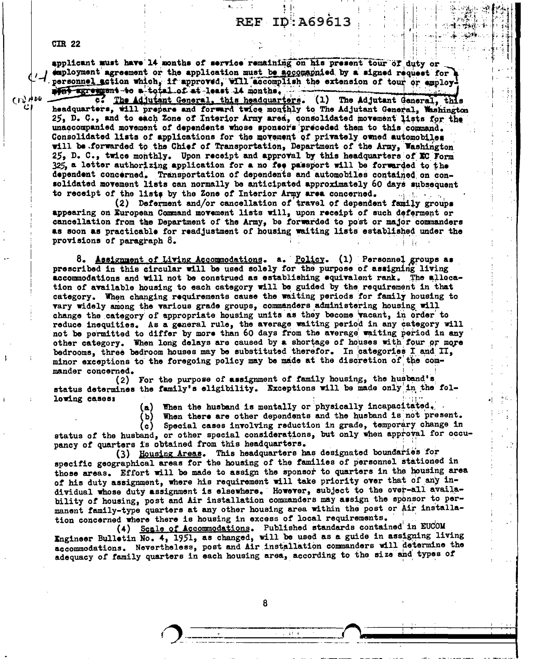**CIR 22** 

applicant must have 14 months of service remaining on his present tour of duty or employment agreement or the application must be accomapnied by a signed request for a personnel action which, if approved, will accomplish the extension of tour or amploy! ment agreement to a total of at least 14 months.

くじんか

The Adjutant General, this headquarters. (1) The Adjutant General, this  $\overline{\mathbf{c}}$  . headquarters, will prepare and forward twice monthly to The Adjutant General. Washington 25, D. C., and to each Zone of Interior Army area, consolidated movement lists for the unaccompanied movement of dependents whose sponsors preceded them to this command. Consolidated lists of applications for the movement of privately owned automobiles will be forwarded to the Chief of Transportation, Department of the Army, Washington 25, D. C., twice monthly. Upon receipt and approval by this headquarters of EC Form 325, a letter authorizing application for a no fee passport will be forwarded to the dependent concerned. Transportation of dependents and automobiles contained on consolidated movement lists can normally be anticipated approximately 60 days subsequent to receipt of the lists by the Zone of Interior Army area concerned.

(2) Deferment and/or cancellation of travel of dependent family groups appearing on European Command movement lists will, upon receipt of such deferment or cancellation from the Department of the Army, be forwarded to post or major commanders as soon as practicable for readjustment of housing waiting lists established under the provisions of paragraph  $\delta$ .

8. Assignment of Living Accommodations. a. Policy. (1) Personnel groups as prescribed in this circular will be used solely for the purpose of assigning living accommodations and will not be construed as establishing equivalent rank. The allocation of available housing to each category will be guided by the requirement in that category. When changing requirements cause the waiting periods for family housing to vary widely among the various grade groups, commanders administering housing will change the category of appropriate housing units as they become vacant, in order to reduce inequities. As a general rule, the average waiting period in any category will not be permitted to differ by more than 60 days from the average waiting period in any other category. When long delays are caused by a shortage of houses with four or more bedrooms, three bedroom houses may be substituted therefor. In categories I and II, minor exceptions to the foregoing policy may be made at the discretion of the commander concerned.

(2) For the purpose of assignment of family housing, the husband's status determines the family's eligibility. Exceptions will be made only in the following cases:

When the husband is mentally or physically incapacitated. (a)

When there are other dependents and the husband is not present. (Ъ)

Special cases involving reduction in grade, temporary change in (c) | status of the husband, or other special considerations, but only when approval for occupancy of quarters is obtained from this headquarters.

(3) Housing Areas. This headquarters has designated boundaries for specific geographical areas for the housing of the families of personnel stationed in those areas. Effort will be made to assign the sponsor to quarters in the housing area of his duty assignment, where his requirement will take priority over that of any individual whose duty assignment is elsewhere. However, subject to the over-all availability of housing, post and Air installation commanders may assign the sponsor to permanent family-type quarters at any other housing area within the post or Air installation concerned where there is housing in excess of local requirements.

(4) Scale of Accommodations. Published standards contained in EUCOM Ingineer Bulletin No. 4, 1951, as changed, will be used as a guide in assigning living accommodations. Nevertheless, post and Air installation commanders will determine the adequacy of family quarters in each housing area, according to the size and types of

8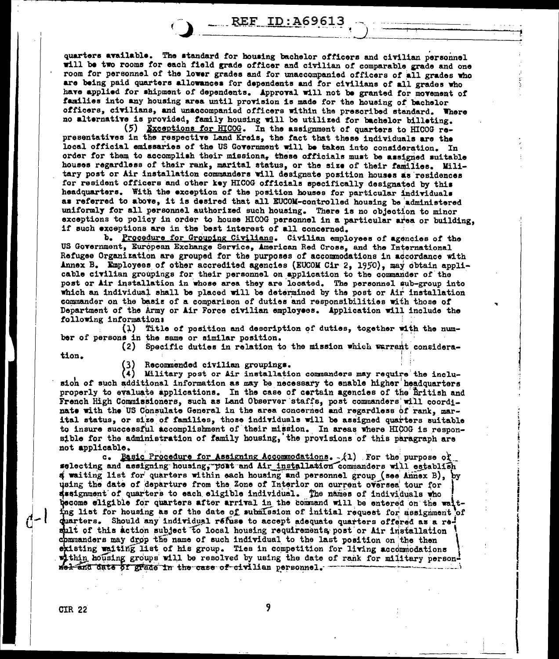**REF ID: A69613** 

quarters available. The standard for housing bachelor officers and civilian personnel will be two rooms for each field grade officer and civilian of comparable grade and one room for personnel of the lower grades and for unaccompanied officers of all grades who are being paid quarters allowances for dependents and for civilians of all grades who have applied for shipment of dependents. Approval will not be granted for movement of families into any housing area until provision is made for the housing of bachelor officers, civilians, and unaccompanied officers within the prescribed standard. Where<br>no alternative is provided, family housing will be utilized for bachelor billeting.

(5) Exceptions for HICOG. In the assignment of quarters to HICOG representatives in the respective Land Kreis, the fact that these individuals are the local official emissaries of the US Government will be taken into consideration. In order for them to accomplish their missiona, these officials must be assigned suitable houses regardless of their rank, marital status, or the size of their families. Military post or Air installation commanders will designate position houses as residences for resident officers and other key HICOG otticials specifically designated by thia headquarters. With the exception of the position houses for particular individuals as referred to above, it is desired that all EUCOM-controlled housing be administered uniformly for all personnel authorized such housing. There is no objection to minor exceptions to policy in order to house HICOG personnel in a particular area or building, if such exceptions are in the best interest of all concerned.

b. Procedure for Grouping Civilians. Civilian employees of agencies of the US Government, European Exchange Service, American Red Cross, and the International Refugee Organization are grouped for the purposes of accommodations in accordance with Annex B. Employees of other accredited agencies (EUCOM Cir 2, 1950), may obtain applicable civilian groupings for their personnel on application to the commander of the post or Air installation in whose area they are located. The personnel sub-group into which an individual shall be placed will be determined by the post or Air installation commander on the basis of a comparison of duties and responsibilities with those of Department of the Army or Air Force civilian employees. Application will include the following information:

 $(1)$  Title of position and description of duties, together with the number of persons in the same or similar position.

(2) Specific duties in relation to the mission which warrant consideration.

..

; • i I i I I i

i<br>India<br>India

i I I I

(3) Recommended civilian groupings.<br>(4) Military post or Air installation

Military post or Air installation commanders may require the inclusioh of such additional information as may be necessary to enable higher headquarters properly to evaluate applications. In the case of certain agencies of the British and French High Commissioners, such as Land Observer staffs, post commanders' will coordinate with the US Consulate General in the area concerned and regardless of rank, marital status, or size of families, those individuals will be assigned quarters suitable to insure successful accomplishment of their mission. In areas where HICOG is responsible for the administration of family housing, the provisions of this paragraph are not applicable.

not applicable. The purpose of assigning Accommodations. - $/1$ ) . For the purpose of  $\epsilon$  = •electing and assigning housing; port and Air installation commanders will establish  *waiting list for quarters within each housing and personnel group (see Annex B), by* using the date of departure from the Zone of Interior on current oversea tour for ssignment of quarters to each eligible individual. The names of individuals who hecome eligible for quarters after arrival in the command will be entered on the waiting list for housing as of the date of submission of initial request for assignment of duarters. Should any individual refuse to accept adequate quarters offered as a result of this action subject to local housing requirements post or Air installation commanders may drop the name of such individual to the last position on the then existing waiting list of his group. Ties in competition for living accommodations within housing groups will be resolved by using the date of rank for military person-<br>wel-and date of grade in the case of civilian personnel.

 $d-1$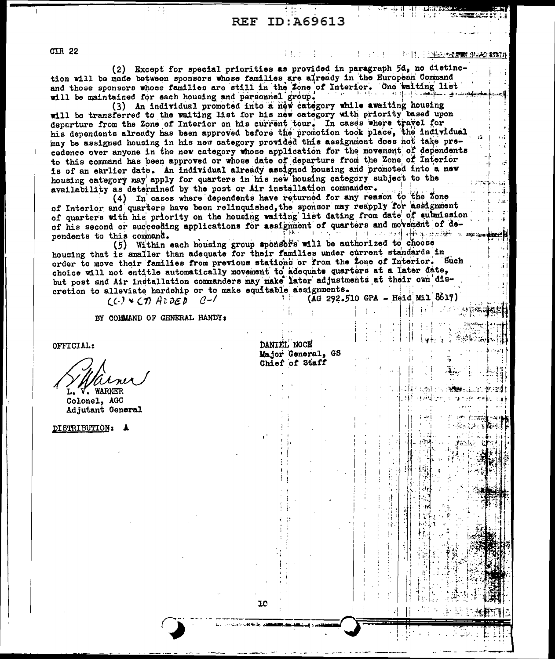## **REF ID: A69613**

主転士の法

**CIR 22** 

1911. 1914年10月**京城** 

(2) Except for special priorities as provided in paragraph 5d, no distinction will be made between sponsors whose families are already in the European Command and those sponsors whose families are still in the Zone of Interior. One waiting list will be maintained for each housing and personnel group.

(3) An individual promoted into a new category while awaiting housing will be transferred to the waiting list for his new category with priority based upon departure from the Zone of Interior on his current tour. In cases where travel for his dependents already has been approved before the promotion took place, the individual may be assigned housing in his new category provided this assignment does not take precedence over anyone in the new category whose application for the movement of dependents to this command has been approved or whose date of departure from the Zone of Interior is of an earlier date. An individual already assigned housing and promoted into a new housing category may apply for quarters in his new housing category subject to the availability as determined by the post or Air installation commander.

(4) In cases where dependents have returned for any reason to the Zone of Interior and quarters have been relinquished, the sponsor may reapply for assignment of quarters with his priority on the housing waiting list dating from date of submission of his second or succeeding applications for assignment of quarters and movement of de-ાં પંચાયતઘરી સ†મેલ્ફ્રેન્ફ્રોલે<del>ટે</del>લ પ્ર<del>ાણ</del>સ્થ≆  $\Gamma$  ,  $\gamma$  ,  $\gamma$  ,  $\gamma$ pendents to this command.

(5) Within each housing group sponsors will be authorized to choose housing that is smaller than adequate for their families under current standards in order to move their families from previous stations or from the Zone of Interior. Such choice will not entitle automatically movement to adequate quarters at a later date, but post and Air installation commanders may make later adjustments at their own discretion to alleviate hardship or to make equitable assignments.

> $(C)$  \*  $CD$   $A$   $DE$   $D$  $(0 - l)$

BY COMMAND OF GENERAL HANDY:

OFFICIAL:

**WARNER** 

Colonel, AGC Adjutant General

DISTRIBUTION: A

DANTEL NOCE Major General, GS Chief of Staff

(AG 292.510 GPA - Heid Mil 8617)

٦Λ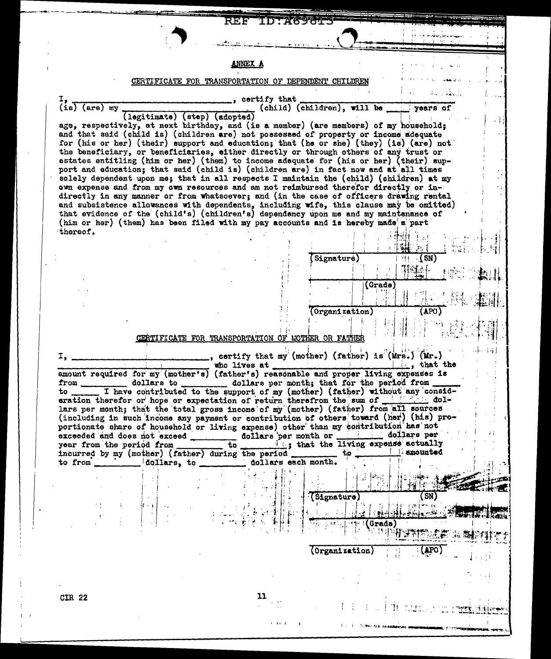REF ID:A69613

### **ANNEX A**

 $\cdot$ 

## CERTIFICATE FOR TRANSPORTATION OF DEPENDENT CHILDREN

| $\begin{array}{c} \text{I} \\ \text{(is) (are) my} \end{array}$                                                                                                                | $\frac{1}{\sqrt{2}}$ certify that                  | (legitimate) (step) (adopted) (child) (children), will be years of                                                                  |  |  |  |  |  |  |
|--------------------------------------------------------------------------------------------------------------------------------------------------------------------------------|----------------------------------------------------|-------------------------------------------------------------------------------------------------------------------------------------|--|--|--|--|--|--|
| age, respectively, at next birthday, and (is a member) (are members) of my household;                                                                                          |                                                    |                                                                                                                                     |  |  |  |  |  |  |
| and that said (child is) (children are) not possessed of property or income adequate                                                                                           |                                                    |                                                                                                                                     |  |  |  |  |  |  |
| the beneficiary, or beneficiaries, either directly or through others of any trust or                                                                                           |                                                    | for (his or her) (their) support and education; that (he or she) (they) (is) (are) not                                              |  |  |  |  |  |  |
|                                                                                                                                                                                |                                                    | estates entitling (him or her) (them) to income adequate for (his or her) (their) sup-                                              |  |  |  |  |  |  |
| port and education; that said (child is) (children are) in fact now and at all times                                                                                           |                                                    |                                                                                                                                     |  |  |  |  |  |  |
| solely dependent upon me; that in all respects I maintain the (child) (children) at my<br>own expense and from my own resources and am not reimbursed therefor directly or in- |                                                    |                                                                                                                                     |  |  |  |  |  |  |
|                                                                                                                                                                                |                                                    | directly in any manner or from whatsoever; and (in the case of officers drawing rental                                              |  |  |  |  |  |  |
| that evidence of the (child's) (children's) dependency upon me and my maintenance of                                                                                           |                                                    | and subsistence allowances with dependents, including wife, this clause may be omitted)                                             |  |  |  |  |  |  |
| (him or her) (them) has been filed with my pay accounts and is hereby made a part                                                                                              |                                                    |                                                                                                                                     |  |  |  |  |  |  |
| thereof.                                                                                                                                                                       |                                                    |                                                                                                                                     |  |  |  |  |  |  |
|                                                                                                                                                                                |                                                    |                                                                                                                                     |  |  |  |  |  |  |
|                                                                                                                                                                                |                                                    | $\overline{1}$ (SN)<br>Signature)                                                                                                   |  |  |  |  |  |  |
|                                                                                                                                                                                |                                                    | 下編十 1%                                                                                                                              |  |  |  |  |  |  |
|                                                                                                                                                                                |                                                    | (Grad <sub>e</sub> )                                                                                                                |  |  |  |  |  |  |
|                                                                                                                                                                                |                                                    | Torganization) (APO)                                                                                                                |  |  |  |  |  |  |
|                                                                                                                                                                                |                                                    |                                                                                                                                     |  |  |  |  |  |  |
|                                                                                                                                                                                |                                                    |                                                                                                                                     |  |  |  |  |  |  |
|                                                                                                                                                                                | CERTIFICATE FOR TRANSPORTATION OF MOTHER OR FATHER |                                                                                                                                     |  |  |  |  |  |  |
|                                                                                                                                                                                |                                                    | certify that my (mother) (father) is (Mrs.) (Mr.)                                                                                   |  |  |  |  |  |  |
|                                                                                                                                                                                |                                                    | uho lives at who have a the lives of that the smount required for my (mother's) (father's) reasonable and proper living expenses is |  |  |  |  |  |  |
|                                                                                                                                                                                |                                                    |                                                                                                                                     |  |  |  |  |  |  |
|                                                                                                                                                                                |                                                    | to I have contributed to the support of my (mother) (father) without any consid-                                                    |  |  |  |  |  |  |
| lars per month; that the total gross income of my (mother) (father) from all sources                                                                                           |                                                    | eration therefor or hope or expectation of return therefrom the sum of <b>the state of the state</b> dol-                           |  |  |  |  |  |  |
|                                                                                                                                                                                |                                                    |                                                                                                                                     |  |  |  |  |  |  |
|                                                                                                                                                                                |                                                    | (including in such income any payment or contribution of others toward (her) (his) pro-                                             |  |  |  |  |  |  |
| portionate share of household or living expense) other than my contribution has not                                                                                            |                                                    | dollars per                                                                                                                         |  |  |  |  |  |  |
| exceeded and does not exceed _____________ dollars per month or ___________                                                                                                    |                                                    |                                                                                                                                     |  |  |  |  |  |  |
| incurred by my (mother) (father) during the period _______ to.                                                                                                                 |                                                    | <b>Example 1</b> amounted                                                                                                           |  |  |  |  |  |  |
|                                                                                                                                                                                | 2010年12月11日                                        |                                                                                                                                     |  |  |  |  |  |  |
|                                                                                                                                                                                |                                                    |                                                                                                                                     |  |  |  |  |  |  |
|                                                                                                                                                                                |                                                    | (Signature)<br>SN)                                                                                                                  |  |  |  |  |  |  |
|                                                                                                                                                                                |                                                    |                                                                                                                                     |  |  |  |  |  |  |
|                                                                                                                                                                                |                                                    |                                                                                                                                     |  |  |  |  |  |  |
|                                                                                                                                                                                |                                                    |                                                                                                                                     |  |  |  |  |  |  |
|                                                                                                                                                                                |                                                    | (Organization)                                                                                                                      |  |  |  |  |  |  |
|                                                                                                                                                                                |                                                    |                                                                                                                                     |  |  |  |  |  |  |
|                                                                                                                                                                                |                                                    |                                                                                                                                     |  |  |  |  |  |  |
| <b>CIR 22</b>                                                                                                                                                                  | 11                                                 |                                                                                                                                     |  |  |  |  |  |  |

 $1 - 1$  $\mathbf{L}$ 

**Corner from**